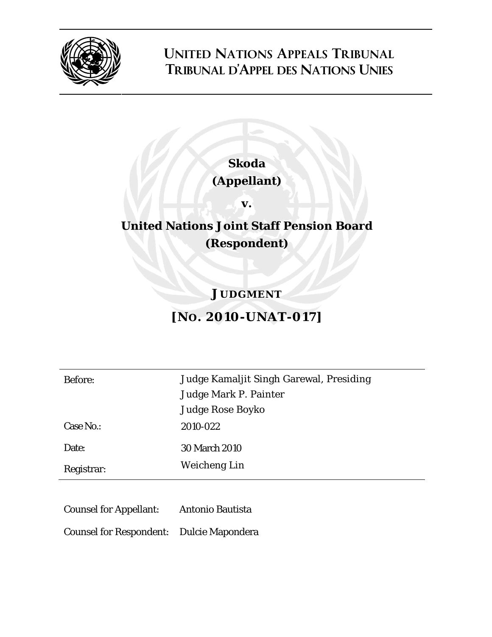

### **UNITED NATIONS APPEALS TRIBUNAL TRIBUNAL D'APPEL DES NATIONS UNIES**

# **Skoda**

### **(Appellant)**

**v.** 

## **United Nations Joint Staff Pension Board (Respondent)**

### **JUDGMENT**

## **[NO. 2010-UNAT-017]**

Before: Judge Kamaljit Singh Garewal, Presiding Judge Mark P. Painter Judge Rose Boyko Case No.: 2010-022 Date: 30 March 2010 Registrar: Weicheng Lin

Counsel for Appellant: Antonio Bautista

Counsel for Respondent: Dulcie Mapondera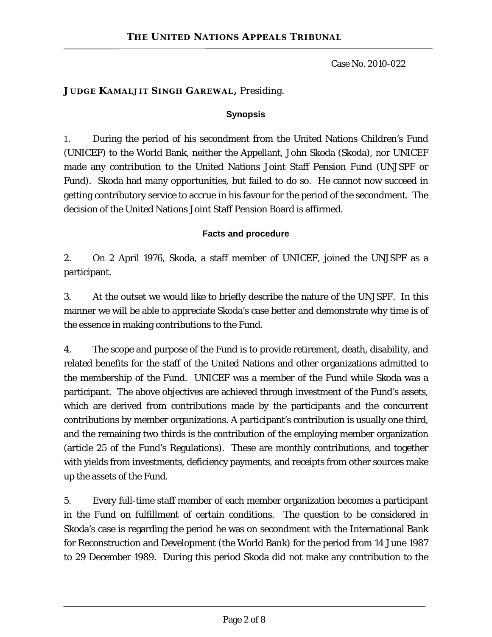#### **JUDGE KAMALJIT SINGH GAREWAL,** Presiding.

#### **Synopsis**

1. During the period of his secondment from the United Nations Children's Fund (UNICEF) to the World Bank, neither the Appellant, John Skoda (Skoda), nor UNICEF made any contribution to the United Nations Joint Staff Pension Fund (UNJSPF or Fund). Skoda had many opportunities, but failed to do so. He cannot now succeed in getting contributory service to accrue in his favour for the period of the secondment. The decision of the United Nations Joint Staff Pension Board is affirmed.

#### **Facts and procedure**

2. On 2 April 1976, Skoda, a staff member of UNICEF, joined the UNJSPF as a participant.

3. At the outset we would like to briefly describe the nature of the UNJSPF. In this manner we will be able to appreciate Skoda's case better and demonstrate why time is of the essence in making contributions to the Fund.

4. The scope and purpose of the Fund is to provide retirement, death, disability, and related benefits for the staff of the United Nations and other organizations admitted to the membership of the Fund. UNICEF was a member of the Fund while Skoda was a participant. The above objectives are achieved through investment of the Fund's assets, which are derived from contributions made by the participants and the concurrent contributions by member organizations. A participant's contribution is usually one third, and the remaining two thirds is the contribution of the employing member organization (article 25 of the Fund's Regulations). These are monthly contributions, and together with yields from investments, deficiency payments, and receipts from other sources make up the assets of the Fund.

5. Every full-time staff member of each member organization becomes a participant in the Fund on fulfillment of certain conditions. The question to be considered in Skoda's case is regarding the period he was on secondment with the International Bank for Reconstruction and Development (the World Bank) for the period from 14 June 1987 to 29 December 1989. During this period Skoda did not make any contribution to the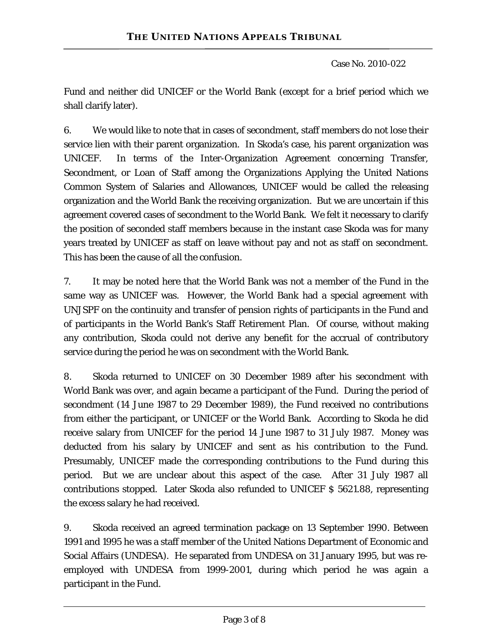Fund and neither did UNICEF or the World Bank (except for a brief period which we shall clarify later).

6. We would like to note that in cases of secondment, staff members do not lose their service lien with their parent organization. In Skoda's case, his parent organization was UNICEF. In terms of the Inter-Organization Agreement concerning Transfer, Secondment, or Loan of Staff among the Organizations Applying the United Nations Common System of Salaries and Allowances, UNICEF would be called the releasing organization and the World Bank the receiving organization. But we are uncertain if this agreement covered cases of secondment to the World Bank. We felt it necessary to clarify the position of seconded staff members because in the instant case Skoda was for many years treated by UNICEF as staff on leave without pay and not as staff on secondment. This has been the cause of all the confusion.

7. It may be noted here that the World Bank was not a member of the Fund in the same way as UNICEF was. However, the World Bank had a special agreement with UNJSPF on the continuity and transfer of pension rights of participants in the Fund and of participants in the World Bank's Staff Retirement Plan. Of course, without making any contribution, Skoda could not derive any benefit for the accrual of contributory service during the period he was on secondment with the World Bank.

8. Skoda returned to UNICEF on 30 December 1989 after his secondment with World Bank was over, and again became a participant of the Fund. During the period of secondment (14 June 1987 to 29 December 1989), the Fund received no contributions from either the participant, or UNICEF or the World Bank. According to Skoda he did receive salary from UNICEF for the period 14 June 1987 to 31 July 1987. Money was deducted from his salary by UNICEF and sent as his contribution to the Fund. Presumably, UNICEF made the corresponding contributions to the Fund during this period. But we are unclear about this aspect of the case. After 31 July 1987 all contributions stopped. Later Skoda also refunded to UNICEF \$ 5621.88, representing the excess salary he had received.

9. Skoda received an agreed termination package on 13 September 1990. Between 1991 and 1995 he was a staff member of the United Nations Department of Economic and Social Affairs (UNDESA). He separated from UNDESA on 31 January 1995, but was reemployed with UNDESA from 1999-2001, during which period he was again a participant in the Fund.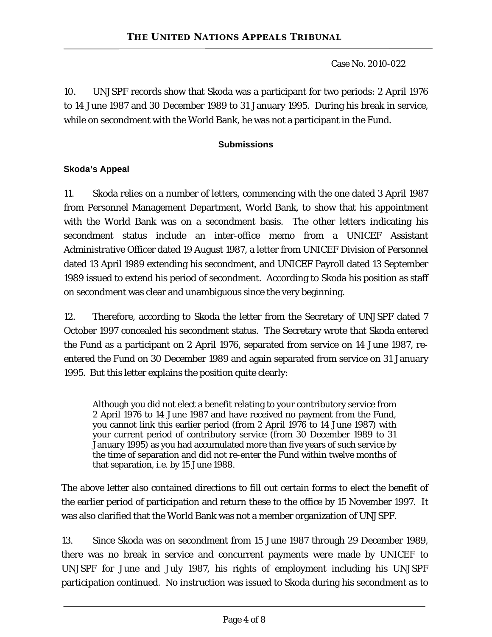10. UNJSPF records show that Skoda was a participant for two periods: 2 April 1976 to 14 June 1987 and 30 December 1989 to 31 January 1995. During his break in service, while on secondment with the World Bank, he was not a participant in the Fund.

#### **Submissions**

#### **Skoda's Appeal**

11. Skoda relies on a number of letters, commencing with the one dated 3 April 1987 from Personnel Management Department, World Bank, to show that his appointment with the World Bank was on a secondment basis. The other letters indicating his secondment status include an inter-office memo from a UNICEF Assistant Administrative Officer dated 19 August 1987, a letter from UNICEF Division of Personnel dated 13 April 1989 extending his secondment, and UNICEF Payroll dated 13 September 1989 issued to extend his period of secondment. According to Skoda his position as staff on secondment was clear and unambiguous since the very beginning.

12. Therefore, according to Skoda the letter from the Secretary of UNJSPF dated 7 October 1997 concealed his secondment status. The Secretary wrote that Skoda entered the Fund as a participant on 2 April 1976, separated from service on 14 June 1987, reentered the Fund on 30 December 1989 and again separated from service on 31 January 1995. But this letter explains the position quite clearly:

Although you did not elect a benefit relating to your contributory service from 2 April 1976 to 14 June 1987 and have received no payment from the Fund, you cannot link this earlier period (from 2 April 1976 to 14 June 1987) with your current period of contributory service (from 30 December 1989 to 31 January 1995) as you had accumulated more than five years of such service by the time of separation and did not re-enter the Fund within twelve months of that separation, i.e. by 15 June 1988.

The above letter also contained directions to fill out certain forms to elect the benefit of the earlier period of participation and return these to the office by 15 November 1997. It was also clarified that the World Bank was not a member organization of UNJSPF.

13. Since Skoda was on secondment from 15 June 1987 through 29 December 1989, there was no break in service and concurrent payments were made by UNICEF to UNJSPF for June and July 1987, his rights of employment including his UNJSPF participation continued. No instruction was issued to Skoda during his secondment as to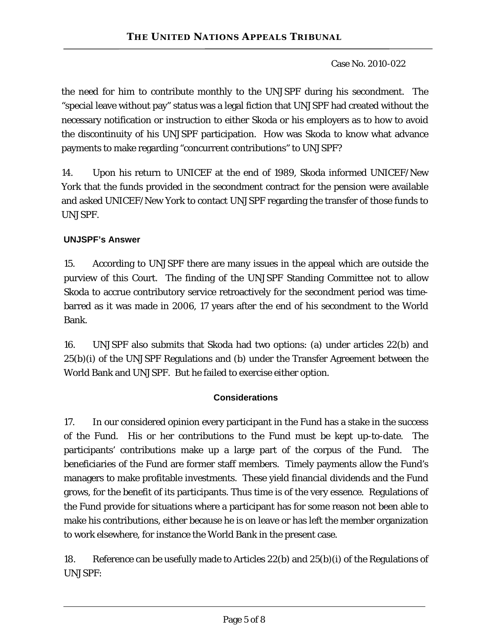the need for him to contribute monthly to the UNJSPF during his secondment. The "special leave without pay" status was a legal fiction that UNJSPF had created without the necessary notification or instruction to either Skoda or his employers as to how to avoid the discontinuity of his UNJSPF participation. How was Skoda to know what advance payments to make regarding "concurrent contributions" to UNJSPF?

14. Upon his return to UNICEF at the end of 1989, Skoda informed UNICEF/New York that the funds provided in the secondment contract for the pension were available and asked UNICEF/New York to contact UNJSPF regarding the transfer of those funds to UNJSPF.

#### **UNJSPF's Answer**

15. According to UNJSPF there are many issues in the appeal which are outside the purview of this Court. The finding of the UNJSPF Standing Committee not to allow Skoda to accrue contributory service retroactively for the secondment period was timebarred as it was made in 2006, 17 years after the end of his secondment to the World Bank.

16. UNJSPF also submits that Skoda had two options: (a) under articles 22(b) and 25(b)(i) of the UNJSPF Regulations and (b) under the Transfer Agreement between the World Bank and UNJSPF. But he failed to exercise either option.

#### **Considerations**

17. In our considered opinion every participant in the Fund has a stake in the success of the Fund. His or her contributions to the Fund must be kept up-to-date. The participants' contributions make up a large part of the corpus of the Fund. The beneficiaries of the Fund are former staff members. Timely payments allow the Fund's managers to make profitable investments. These yield financial dividends and the Fund grows, for the benefit of its participants. Thus time is of the very essence. Regulations of the Fund provide for situations where a participant has for some reason not been able to make his contributions, either because he is on leave or has left the member organization to work elsewhere, for instance the World Bank in the present case.

18. Reference can be usefully made to Articles 22(b) and 25(b)(i) of the Regulations of UNJSPF: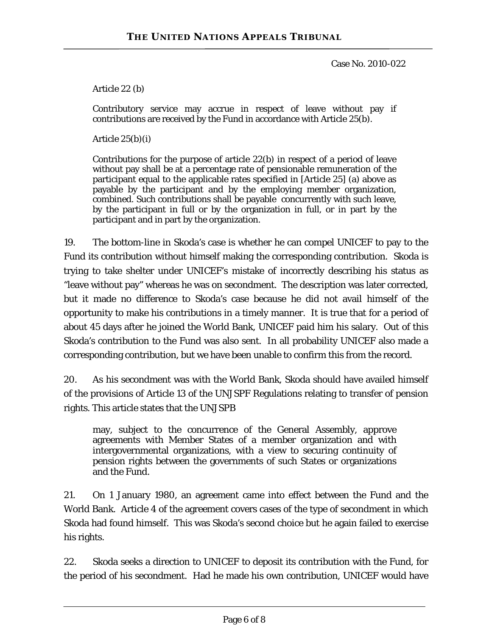Article 22 (b)

Contributory service may accrue in respect of leave without pay if contributions are received by the Fund in accordance with Article 25(b).

Article  $25(b)(i)$ 

Contributions for the purpose of article 22(b) in respect of a period of leave without pay shall be at a percentage rate of pensionable remuneration of the participant equal to the applicable rates specified in [Article 25] (a) above as payable by the participant and by the employing member organization, combined. Such contributions shall be payable concurrently with such leave, by the participant in full or by the organization in full, or in part by the participant and in part by the organization.

19. The bottom-line in Skoda's case is whether he can compel UNICEF to pay to the Fund its contribution without himself making the corresponding contribution. Skoda is trying to take shelter under UNICEF's mistake of incorrectly describing his status as "leave without pay" whereas he was on secondment. The description was later corrected, but it made no difference to Skoda's case because he did not avail himself of the opportunity to make his contributions in a timely manner. It is true that for a period of about 45 days after he joined the World Bank, UNICEF paid him his salary. Out of this Skoda's contribution to the Fund was also sent. In all probability UNICEF also made a corresponding contribution, but we have been unable to confirm this from the record.

20. As his secondment was with the World Bank, Skoda should have availed himself of the provisions of Article 13 of the UNJSPF Regulations relating to transfer of pension rights. This article states that the UNJSPB

may, subject to the concurrence of the General Assembly, approve agreements with Member States of a member organization and with intergovernmental organizations, with a view to securing continuity of pension rights between the governments of such States or organizations and the Fund.

21. On 1 January 1980, an agreement came into effect between the Fund and the World Bank. Article 4 of the agreement covers cases of the type of secondment in which Skoda had found himself. This was Skoda's second choice but he again failed to exercise his rights.

22. Skoda seeks a direction to UNICEF to deposit its contribution with the Fund, for the period of his secondment. Had he made his own contribution, UNICEF would have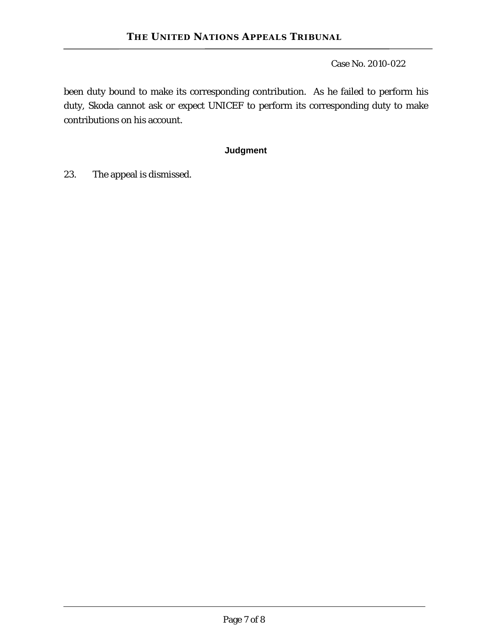been duty bound to make its corresponding contribution. As he failed to perform his duty, Skoda cannot ask or expect UNICEF to perform its corresponding duty to make contributions on his account.

#### **Judgment**

23. The appeal is dismissed.